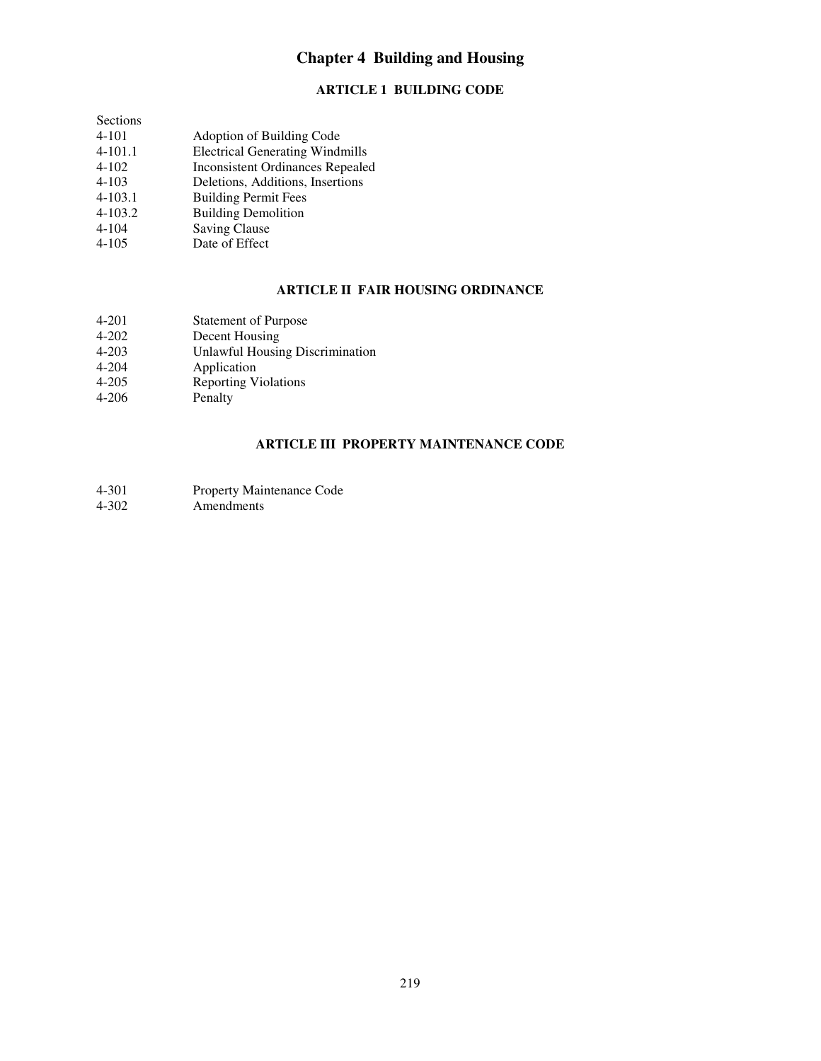# **Chapter 4 Building and Housing**

## **ARTICLE 1 BUILDING CODE**

| Sections    |                                         |
|-------------|-----------------------------------------|
| 4-101       | Adoption of Building Code               |
| $4-101.1$   | <b>Electrical Generating Windmills</b>  |
| $4 - 102$   | <b>Inconsistent Ordinances Repealed</b> |
| $4 - 103$   | Deletions, Additions, Insertions        |
| $4 - 103.1$ | <b>Building Permit Fees</b>             |
| $4 - 103.2$ | <b>Building Demolition</b>              |
| $4 - 104$   | Saving Clause                           |
| $4 - 105$   | Date of Effect                          |

### **ARTICLE II FAIR HOUSING ORDINANCE**

| 4-201<br><b>Statement of Purpose</b>                |  |
|-----------------------------------------------------|--|
| $4 - 202$<br>Decent Housing                         |  |
| <b>Unlawful Housing Discrimination</b><br>$4 - 203$ |  |
| $4 - 204$<br>Application                            |  |
| <b>Reporting Violations</b><br>$4 - 205$            |  |
| $4 - 206$<br>Penalty                                |  |

### **ARTICLE III PROPERTY MAINTENANCE CODE**

| 4-301 | <b>Property Maintenance Code</b> |
|-------|----------------------------------|
|-------|----------------------------------|

4-302 Amendments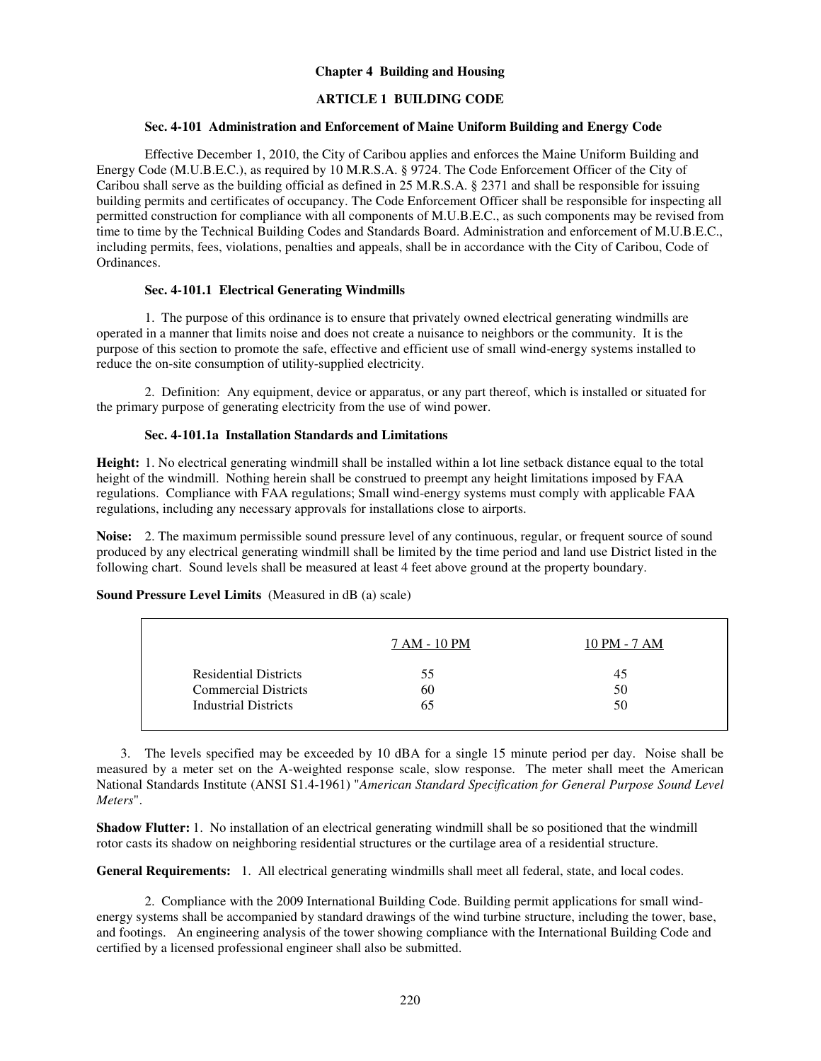### **Chapter 4 Building and Housing**

### **ARTICLE 1 BUILDING CODE**

#### **Sec. 4-101 Administration and Enforcement of Maine Uniform Building and Energy Code**

Effective December 1, 2010, the City of Caribou applies and enforces the Maine Uniform Building and Energy Code (M.U.B.E.C.), as required by 10 M.R.S.A. § 9724. The Code Enforcement Officer of the City of Caribou shall serve as the building official as defined in 25 M.R.S.A. § 2371 and shall be responsible for issuing building permits and certificates of occupancy. The Code Enforcement Officer shall be responsible for inspecting all permitted construction for compliance with all components of M.U.B.E.C., as such components may be revised from time to time by the Technical Building Codes and Standards Board. Administration and enforcement of M.U.B.E.C., including permits, fees, violations, penalties and appeals, shall be in accordance with the City of Caribou, Code of Ordinances.

### **Sec. 4-101.1 Electrical Generating Windmills**

1. The purpose of this ordinance is to ensure that privately owned electrical generating windmills are operated in a manner that limits noise and does not create a nuisance to neighbors or the community. It is the purpose of this section to promote the safe, effective and efficient use of small wind-energy systems installed to reduce the on-site consumption of utility-supplied electricity.

2. Definition: Any equipment, device or apparatus, or any part thereof, which is installed or situated for the primary purpose of generating electricity from the use of wind power.

### **Sec. 4-101.1a Installation Standards and Limitations**

**Height:** 1. No electrical generating windmill shall be installed within a lot line setback distance equal to the total height of the windmill. Nothing herein shall be construed to preempt any height limitations imposed by FAA regulations. Compliance with FAA regulations; Small wind-energy systems must comply with applicable FAA regulations, including any necessary approvals for installations close to airports.

**Noise:** 2. The maximum permissible sound pressure level of any continuous, regular, or frequent source of sound produced by any electrical generating windmill shall be limited by the time period and land use District listed in the following chart. Sound levels shall be measured at least 4 feet above ground at the property boundary.

|                              | 7 AM - 10 PM | 10 PM - 7 AM |
|------------------------------|--------------|--------------|
| <b>Residential Districts</b> | 55           | 45           |
| <b>Commercial Districts</b>  | 60           | 50           |
| <b>Industrial Districts</b>  | 65           | 50           |

#### **Sound Pressure Level Limits** (Measured in dB (a) scale)

3. The levels specified may be exceeded by 10 dBA for a single 15 minute period per day. Noise shall be measured by a meter set on the A-weighted response scale, slow response. The meter shall meet the American National Standards Institute (ANSI S1.4-1961) "*American Standard Specification for General Purpose Sound Level Meters*".

**Shadow Flutter:** 1. No installation of an electrical generating windmill shall be so positioned that the windmill rotor casts its shadow on neighboring residential structures or the curtilage area of a residential structure.

**General Requirements:** 1. All electrical generating windmills shall meet all federal, state, and local codes.

2. Compliance with the 2009 International Building Code. Building permit applications for small windenergy systems shall be accompanied by standard drawings of the wind turbine structure, including the tower, base, and footings. An engineering analysis of the tower showing compliance with the International Building Code and certified by a licensed professional engineer shall also be submitted.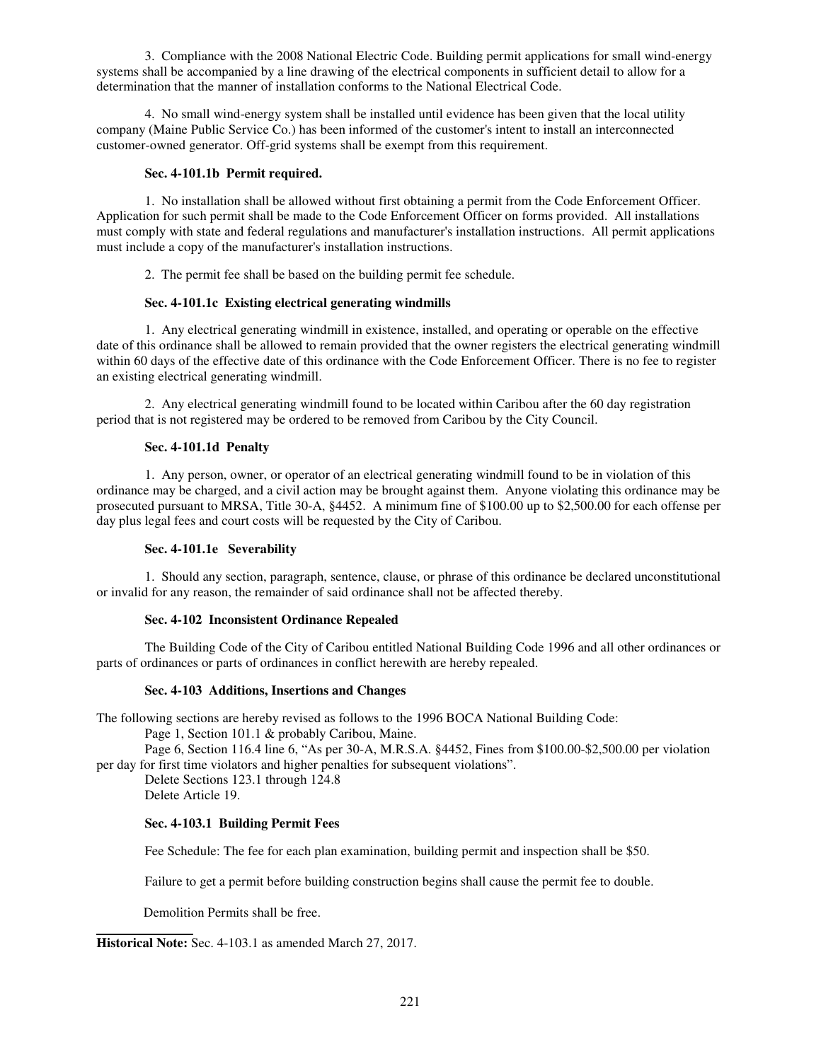3. Compliance with the 2008 National Electric Code. Building permit applications for small wind-energy systems shall be accompanied by a line drawing of the electrical components in sufficient detail to allow for a determination that the manner of installation conforms to the National Electrical Code.

4. No small wind-energy system shall be installed until evidence has been given that the local utility company (Maine Public Service Co.) has been informed of the customer's intent to install an interconnected customer-owned generator. Off-grid systems shall be exempt from this requirement.

### **Sec. 4-101.1b Permit required.**

1. No installation shall be allowed without first obtaining a permit from the Code Enforcement Officer. Application for such permit shall be made to the Code Enforcement Officer on forms provided. All installations must comply with state and federal regulations and manufacturer's installation instructions. All permit applications must include a copy of the manufacturer's installation instructions.

2. The permit fee shall be based on the building permit fee schedule.

### **Sec. 4-101.1c Existing electrical generating windmills**

1. Any electrical generating windmill in existence, installed, and operating or operable on the effective date of this ordinance shall be allowed to remain provided that the owner registers the electrical generating windmill within 60 days of the effective date of this ordinance with the Code Enforcement Officer. There is no fee to register an existing electrical generating windmill.

2. Any electrical generating windmill found to be located within Caribou after the 60 day registration period that is not registered may be ordered to be removed from Caribou by the City Council.

#### **Sec. 4-101.1d Penalty**

1. Any person, owner, or operator of an electrical generating windmill found to be in violation of this ordinance may be charged, and a civil action may be brought against them. Anyone violating this ordinance may be prosecuted pursuant to MRSA, Title 30-A, §4452. A minimum fine of \$100.00 up to \$2,500.00 for each offense per day plus legal fees and court costs will be requested by the City of Caribou.

#### **Sec. 4-101.1e Severability**

1.Should any section, paragraph, sentence, clause, or phrase of this ordinance be declared unconstitutional or invalid for any reason, the remainder of said ordinance shall not be affected thereby.

### **Sec. 4-102 Inconsistent Ordinance Repealed**

The Building Code of the City of Caribou entitled National Building Code 1996 and all other ordinances or parts of ordinances or parts of ordinances in conflict herewith are hereby repealed.

#### **Sec. 4-103 Additions, Insertions and Changes**

The following sections are hereby revised as follows to the 1996 BOCA National Building Code:

Page 1, Section 101.1 & probably Caribou, Maine.

 Page 6, Section 116.4 line 6, "As per 30-A, M.R.S.A. §4452, Fines from \$100.00-\$2,500.00 per violation per day for first time violators and higher penalties for subsequent violations".

 Delete Sections 123.1 through 124.8 Delete Article 19.

### **Sec. 4-103.1 Building Permit Fees**

Fee Schedule: The fee for each plan examination, building permit and inspection shall be \$50.

Failure to get a permit before building construction begins shall cause the permit fee to double.

Demolition Permits shall be free.

 **Historical Note:** Sec. 4-103.1 as amended March 27, 2017.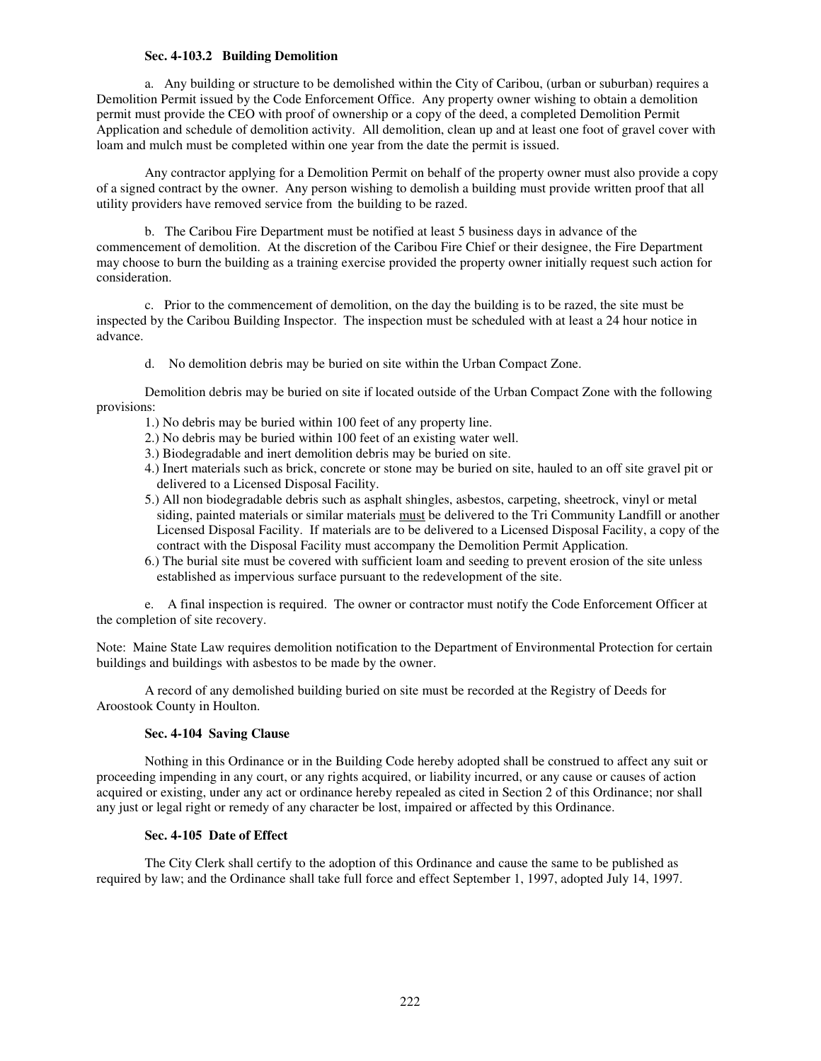### **Sec. 4-103.2 Building Demolition**

a. Any building or structure to be demolished within the City of Caribou, (urban or suburban) requires a Demolition Permit issued by the Code Enforcement Office. Any property owner wishing to obtain a demolition permit must provide the CEO with proof of ownership or a copy of the deed, a completed Demolition Permit Application and schedule of demolition activity. All demolition, clean up and at least one foot of gravel cover with loam and mulch must be completed within one year from the date the permit is issued.

 Any contractor applying for a Demolition Permit on behalf of the property owner must also provide a copy of a signed contract by the owner. Any person wishing to demolish a building must provide written proof that all utility providers have removed service from the building to be razed.

 b. The Caribou Fire Department must be notified at least 5 business days in advance of the commencement of demolition. At the discretion of the Caribou Fire Chief or their designee, the Fire Department may choose to burn the building as a training exercise provided the property owner initially request such action for consideration.

c. Prior to the commencement of demolition, on the day the building is to be razed, the site must be inspected by the Caribou Building Inspector. The inspection must be scheduled with at least a 24 hour notice in advance.

d. No demolition debris may be buried on site within the Urban Compact Zone.

Demolition debris may be buried on site if located outside of the Urban Compact Zone with the following provisions:

- 1.) No debris may be buried within 100 feet of any property line.
- 2.) No debris may be buried within 100 feet of an existing water well.
- 3.) Biodegradable and inert demolition debris may be buried on site.
- 4.) Inert materials such as brick, concrete or stone may be buried on site, hauled to an off site gravel pit or delivered to a Licensed Disposal Facility.
- 5.) All non biodegradable debris such as asphalt shingles, asbestos, carpeting, sheetrock, vinyl or metal siding, painted materials or similar materials must be delivered to the Tri Community Landfill or another Licensed Disposal Facility. If materials are to be delivered to a Licensed Disposal Facility, a copy of the contract with the Disposal Facility must accompany the Demolition Permit Application.
- 6.) The burial site must be covered with sufficient loam and seeding to prevent erosion of the site unless established as impervious surface pursuant to the redevelopment of the site.

e. A final inspection is required. The owner or contractor must notify the Code Enforcement Officer at the completion of site recovery.

Note: Maine State Law requires demolition notification to the Department of Environmental Protection for certain buildings and buildings with asbestos to be made by the owner.

 A record of any demolished building buried on site must be recorded at the Registry of Deeds for Aroostook County in Houlton.

#### **Sec. 4-104 Saving Clause**

 Nothing in this Ordinance or in the Building Code hereby adopted shall be construed to affect any suit or proceeding impending in any court, or any rights acquired, or liability incurred, or any cause or causes of action acquired or existing, under any act or ordinance hereby repealed as cited in Section 2 of this Ordinance; nor shall any just or legal right or remedy of any character be lost, impaired or affected by this Ordinance.

### **Sec. 4-105 Date of Effect**

The City Clerk shall certify to the adoption of this Ordinance and cause the same to be published as required by law; and the Ordinance shall take full force and effect September 1, 1997, adopted July 14, 1997.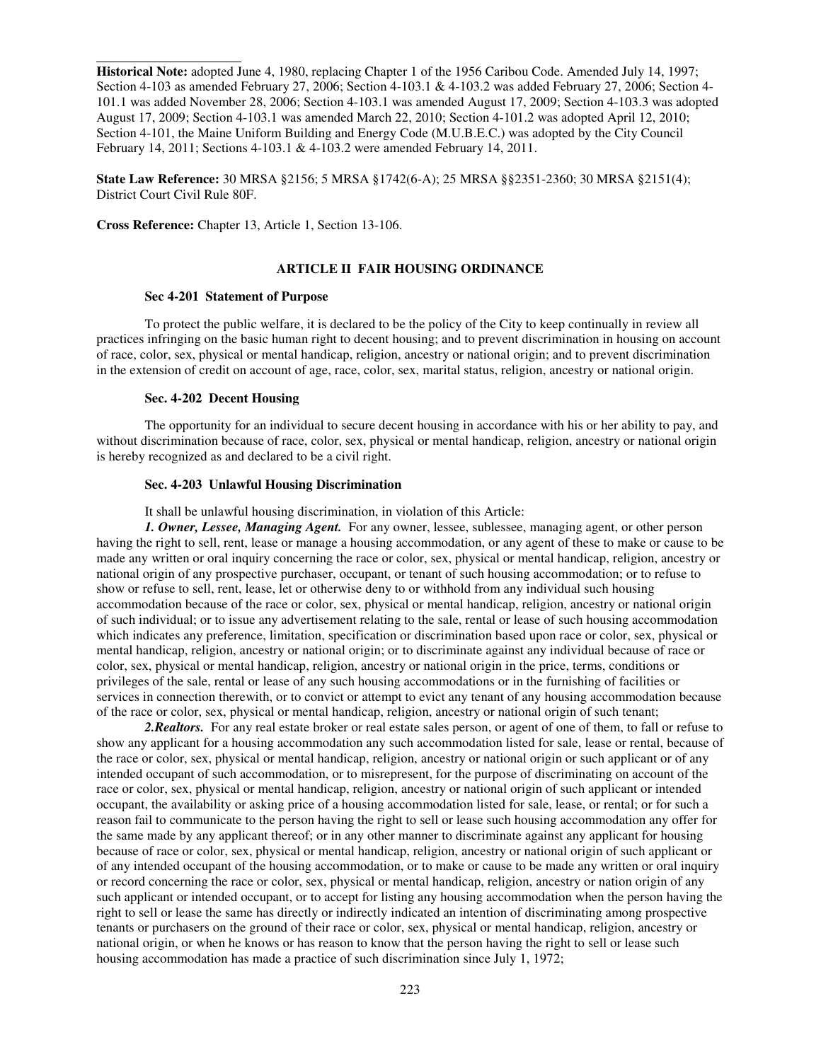**Historical Note:** adopted June 4, 1980, replacing Chapter 1 of the 1956 Caribou Code. Amended July 14, 1997; Section 4-103 as amended February 27, 2006; Section 4-103.1 & 4-103.2 was added February 27, 2006; Section 4- 101.1 was added November 28, 2006; Section 4-103.1 was amended August 17, 2009; Section 4-103.3 was adopted August 17, 2009; Section 4-103.1 was amended March 22, 2010; Section 4-101.2 was adopted April 12, 2010; Section 4-101, the Maine Uniform Building and Energy Code (M.U.B.E.C.) was adopted by the City Council February 14, 2011; Sections 4-103.1 & 4-103.2 were amended February 14, 2011.

**State Law Reference:** 30 MRSA §2156; 5 MRSA §1742(6-A); 25 MRSA §§2351-2360; 30 MRSA §2151(4); District Court Civil Rule 80F.

**Cross Reference:** Chapter 13, Article 1, Section 13-106.

 $\overline{a}$ 

#### **ARTICLE II FAIR HOUSING ORDINANCE**

#### **Sec 4-201 Statement of Purpose**

 To protect the public welfare, it is declared to be the policy of the City to keep continually in review all practices infringing on the basic human right to decent housing; and to prevent discrimination in housing on account of race, color, sex, physical or mental handicap, religion, ancestry or national origin; and to prevent discrimination in the extension of credit on account of age, race, color, sex, marital status, religion, ancestry or national origin.

#### **Sec. 4-202 Decent Housing**

 The opportunity for an individual to secure decent housing in accordance with his or her ability to pay, and without discrimination because of race, color, sex, physical or mental handicap, religion, ancestry or national origin is hereby recognized as and declared to be a civil right.

#### **Sec. 4-203 Unlawful Housing Discrimination**

It shall be unlawful housing discrimination, in violation of this Article:

*1. Owner, Lessee, Managing Agent.* For any owner, lessee, sublessee, managing agent, or other person having the right to sell, rent, lease or manage a housing accommodation, or any agent of these to make or cause to be made any written or oral inquiry concerning the race or color, sex, physical or mental handicap, religion, ancestry or national origin of any prospective purchaser, occupant, or tenant of such housing accommodation; or to refuse to show or refuse to sell, rent, lease, let or otherwise deny to or withhold from any individual such housing accommodation because of the race or color, sex, physical or mental handicap, religion, ancestry or national origin of such individual; or to issue any advertisement relating to the sale, rental or lease of such housing accommodation which indicates any preference, limitation, specification or discrimination based upon race or color, sex, physical or mental handicap, religion, ancestry or national origin; or to discriminate against any individual because of race or color, sex, physical or mental handicap, religion, ancestry or national origin in the price, terms, conditions or privileges of the sale, rental or lease of any such housing accommodations or in the furnishing of facilities or services in connection therewith, or to convict or attempt to evict any tenant of any housing accommodation because of the race or color, sex, physical or mental handicap, religion, ancestry or national origin of such tenant;

*2.Realtors.* For any real estate broker or real estate sales person, or agent of one of them, to fall or refuse to show any applicant for a housing accommodation any such accommodation listed for sale, lease or rental, because of the race or color, sex, physical or mental handicap, religion, ancestry or national origin or such applicant or of any intended occupant of such accommodation, or to misrepresent, for the purpose of discriminating on account of the race or color, sex, physical or mental handicap, religion, ancestry or national origin of such applicant or intended occupant, the availability or asking price of a housing accommodation listed for sale, lease, or rental; or for such a reason fail to communicate to the person having the right to sell or lease such housing accommodation any offer for the same made by any applicant thereof; or in any other manner to discriminate against any applicant for housing because of race or color, sex, physical or mental handicap, religion, ancestry or national origin of such applicant or of any intended occupant of the housing accommodation, or to make or cause to be made any written or oral inquiry or record concerning the race or color, sex, physical or mental handicap, religion, ancestry or nation origin of any such applicant or intended occupant, or to accept for listing any housing accommodation when the person having the right to sell or lease the same has directly or indirectly indicated an intention of discriminating among prospective tenants or purchasers on the ground of their race or color, sex, physical or mental handicap, religion, ancestry or national origin, or when he knows or has reason to know that the person having the right to sell or lease such housing accommodation has made a practice of such discrimination since July 1, 1972;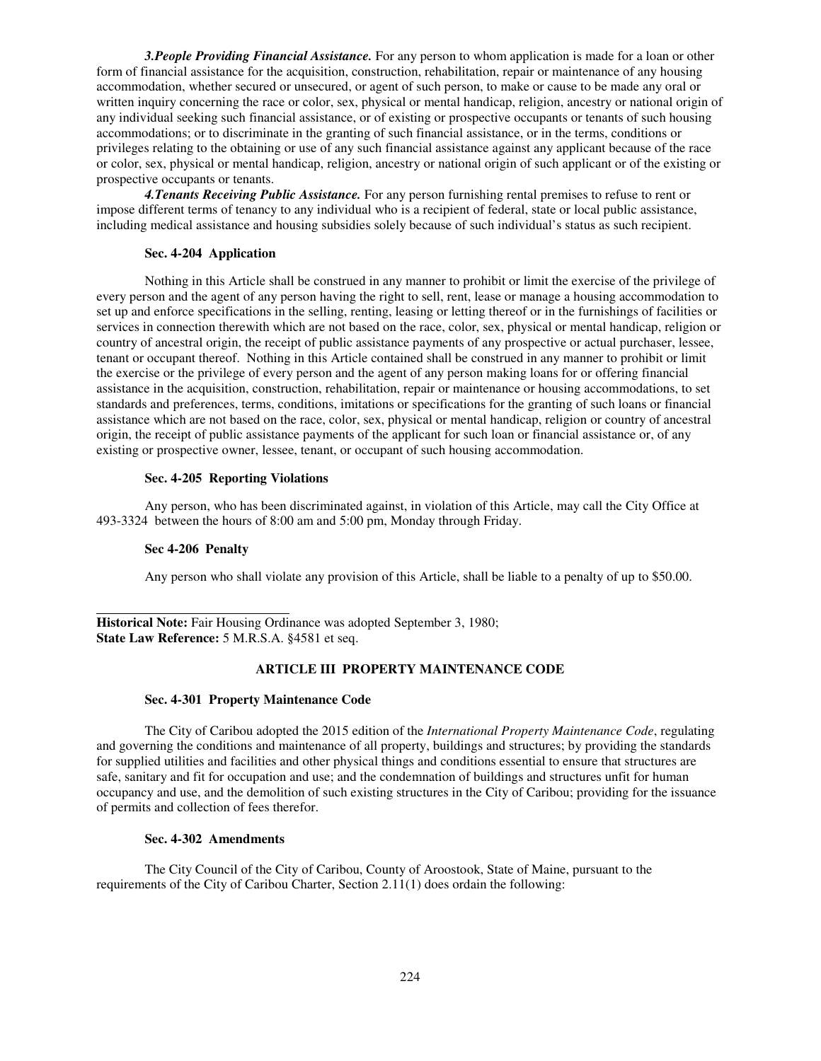*3.People Providing Financial Assistance.* For any person to whom application is made for a loan or other form of financial assistance for the acquisition, construction, rehabilitation, repair or maintenance of any housing accommodation, whether secured or unsecured, or agent of such person, to make or cause to be made any oral or written inquiry concerning the race or color, sex, physical or mental handicap, religion, ancestry or national origin of any individual seeking such financial assistance, or of existing or prospective occupants or tenants of such housing accommodations; or to discriminate in the granting of such financial assistance, or in the terms, conditions or privileges relating to the obtaining or use of any such financial assistance against any applicant because of the race or color, sex, physical or mental handicap, religion, ancestry or national origin of such applicant or of the existing or prospective occupants or tenants.

*4.Tenants Receiving Public Assistance.* For any person furnishing rental premises to refuse to rent or impose different terms of tenancy to any individual who is a recipient of federal, state or local public assistance, including medical assistance and housing subsidies solely because of such individual's status as such recipient.

#### **Sec. 4-204 Application**

Nothing in this Article shall be construed in any manner to prohibit or limit the exercise of the privilege of every person and the agent of any person having the right to sell, rent, lease or manage a housing accommodation to set up and enforce specifications in the selling, renting, leasing or letting thereof or in the furnishings of facilities or services in connection therewith which are not based on the race, color, sex, physical or mental handicap, religion or country of ancestral origin, the receipt of public assistance payments of any prospective or actual purchaser, lessee, tenant or occupant thereof. Nothing in this Article contained shall be construed in any manner to prohibit or limit the exercise or the privilege of every person and the agent of any person making loans for or offering financial assistance in the acquisition, construction, rehabilitation, repair or maintenance or housing accommodations, to set standards and preferences, terms, conditions, imitations or specifications for the granting of such loans or financial assistance which are not based on the race, color, sex, physical or mental handicap, religion or country of ancestral origin, the receipt of public assistance payments of the applicant for such loan or financial assistance or, of any existing or prospective owner, lessee, tenant, or occupant of such housing accommodation.

#### **Sec. 4-205 Reporting Violations**

Any person, who has been discriminated against, in violation of this Article, may call the City Office at 493-3324 between the hours of 8:00 am and 5:00 pm, Monday through Friday.

### **Sec 4-206 Penalty**

 $\overline{a}$ 

Any person who shall violate any provision of this Article, shall be liable to a penalty of up to \$50.00.

Historical Note: Fair Housing Ordinance was adopted September 3, 1980; **State Law Reference:** 5 M.R.S.A. §4581 et seq.

### **ARTICLE III PROPERTY MAINTENANCE CODE**

#### **Sec. 4-301 Property Maintenance Code**

 The City of Caribou adopted the 2015 edition of the *International Property Maintenance Code*, regulating and governing the conditions and maintenance of all property, buildings and structures; by providing the standards for supplied utilities and facilities and other physical things and conditions essential to ensure that structures are safe, sanitary and fit for occupation and use; and the condemnation of buildings and structures unfit for human occupancy and use, and the demolition of such existing structures in the City of Caribou; providing for the issuance of permits and collection of fees therefor.

### **Sec. 4-302 Amendments**

 The City Council of the City of Caribou, County of Aroostook, State of Maine, pursuant to the requirements of the City of Caribou Charter, Section 2.11(1) does ordain the following: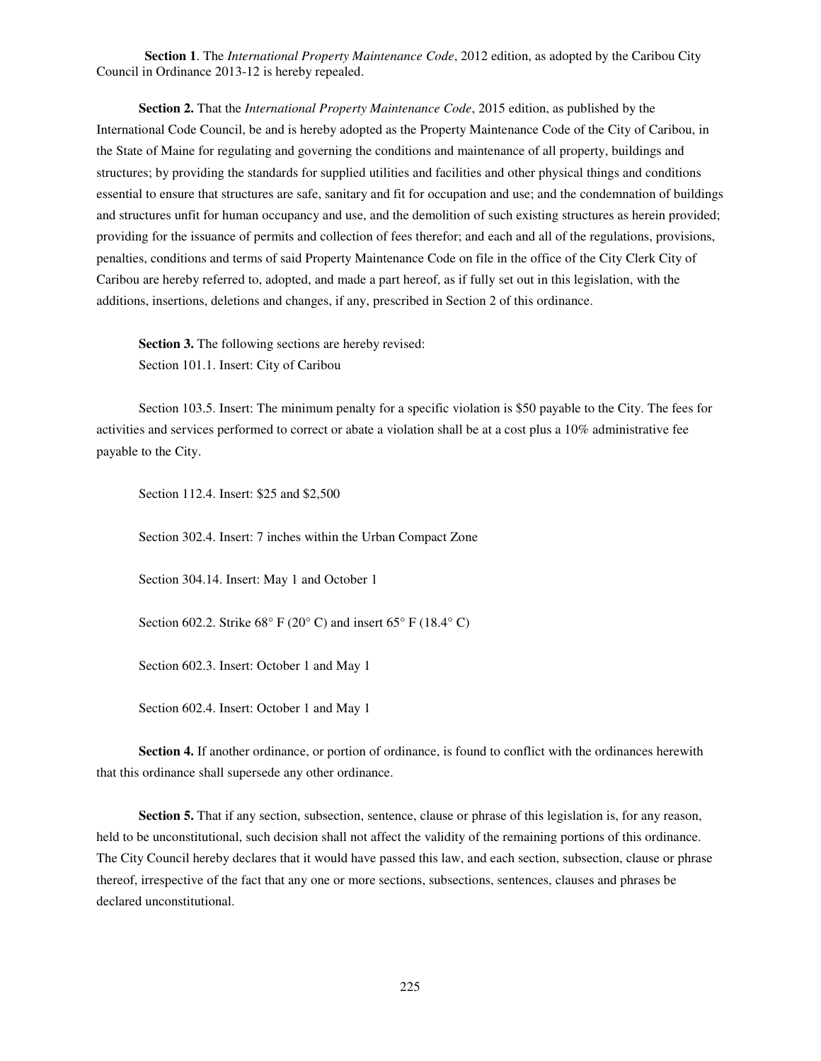**Section 1**. The *International Property Maintenance Code*, 2012 edition, as adopted by the Caribou City Council in Ordinance 2013-12 is hereby repealed.

**Section 2.** That the *International Property Maintenance Code*, 2015 edition, as published by the International Code Council, be and is hereby adopted as the Property Maintenance Code of the City of Caribou, in the State of Maine for regulating and governing the conditions and maintenance of all property, buildings and structures; by providing the standards for supplied utilities and facilities and other physical things and conditions essential to ensure that structures are safe, sanitary and fit for occupation and use; and the condemnation of buildings and structures unfit for human occupancy and use, and the demolition of such existing structures as herein provided; providing for the issuance of permits and collection of fees therefor; and each and all of the regulations, provisions, penalties, conditions and terms of said Property Maintenance Code on file in the office of the City Clerk City of Caribou are hereby referred to, adopted, and made a part hereof, as if fully set out in this legislation, with the additions, insertions, deletions and changes, if any, prescribed in Section 2 of this ordinance.

**Section 3.** The following sections are hereby revised: Section 101.1. Insert: City of Caribou

Section 103.5. Insert: The minimum penalty for a specific violation is \$50 payable to the City. The fees for activities and services performed to correct or abate a violation shall be at a cost plus a 10% administrative fee payable to the City.

Section 112.4. Insert: \$25 and \$2,500

Section 302.4. Insert: 7 inches within the Urban Compact Zone

Section 304.14. Insert: May 1 and October 1

Section 602.2. Strike  $68^{\circ}$  F (20°C) and insert  $65^{\circ}$  F (18.4°C)

Section 602.3. Insert: October 1 and May 1

Section 602.4. Insert: October 1 and May 1

**Section 4.** If another ordinance, or portion of ordinance, is found to conflict with the ordinances herewith that this ordinance shall supersede any other ordinance.

**Section 5.** That if any section, subsection, sentence, clause or phrase of this legislation is, for any reason, held to be unconstitutional, such decision shall not affect the validity of the remaining portions of this ordinance. The City Council hereby declares that it would have passed this law, and each section, subsection, clause or phrase thereof, irrespective of the fact that any one or more sections, subsections, sentences, clauses and phrases be declared unconstitutional.